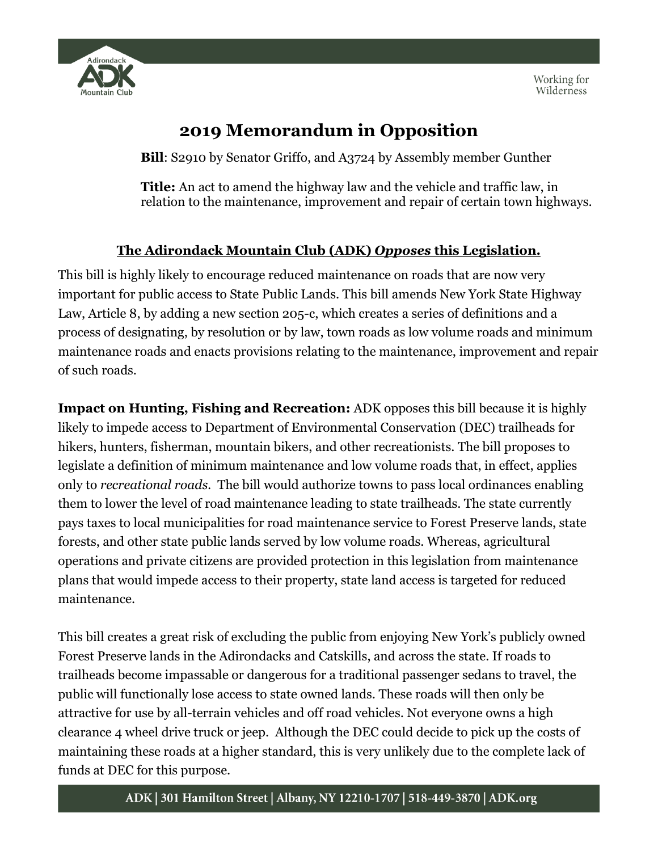

## **2019 Memorandum in Opposition**

**Bill**: S2910 by Senator Griffo, and A3724 by Assembly member Gunther

**Title:** An act to amend the highway law and the vehicle and traffic law, in relation to the maintenance, improvement and repair of certain town highways.

## **The Adirondack Mountain Club (ADK)** *Opposes* **this Legislation.**

This bill is highly likely to encourage reduced maintenance on roads that are now very important for public access to State Public Lands. This bill amends New York State Highway Law, Article 8, by adding a new section 205-c, which creates a series of definitions and a process of designating, by resolution or by law, town roads as low volume roads and minimum maintenance roads and enacts provisions relating to the maintenance, improvement and repair of such roads.

**Impact on Hunting, Fishing and Recreation:** ADK opposes this bill because it is highly likely to impede access to Department of Environmental Conservation (DEC) trailheads for hikers, hunters, fisherman, mountain bikers, and other recreationists. The bill proposes to legislate a definition of minimum maintenance and low volume roads that, in effect, applies only to *recreational roads.* The bill would authorize towns to pass local ordinances enabling them to lower the level of road maintenance leading to state trailheads. The state currently pays taxes to local municipalities for road maintenance service to Forest Preserve lands, state forests, and other state public lands served by low volume roads. Whereas, agricultural operations and private citizens are provided protection in this legislation from maintenance plans that would impede access to their property, state land access is targeted for reduced maintenance.

This bill creates a great risk of excluding the public from enjoying New York's publicly owned Forest Preserve lands in the Adirondacks and Catskills, and across the state. If roads to trailheads become impassable or dangerous for a traditional passenger sedans to travel, the public will functionally lose access to state owned lands. These roads will then only be attractive for use by all-terrain vehicles and off road vehicles. Not everyone owns a high clearance 4 wheel drive truck or jeep. Although the DEC could decide to pick up the costs of maintaining these roads at a higher standard, this is very unlikely due to the complete lack of funds at DEC for this purpose.

## ADK | 301 Hamilton Street | Albany, NY 12210-1707 | 518-449-3870 | ADK.org